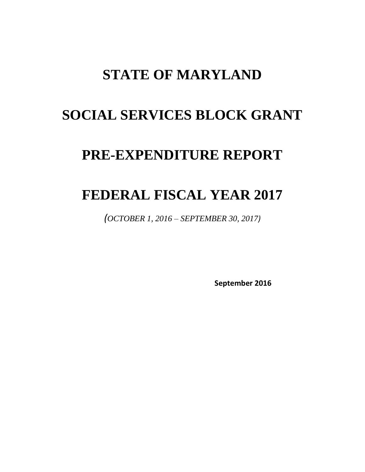## **STATE OF MARYLAND**

# **SOCIAL SERVICES BLOCK GRANT**

## **PRE-EXPENDITURE REPORT**

## **FEDERAL FISCAL YEAR 2017**

*(OCTOBER 1, 2016 – SEPTEMBER 30, 2017)*

**September 2016**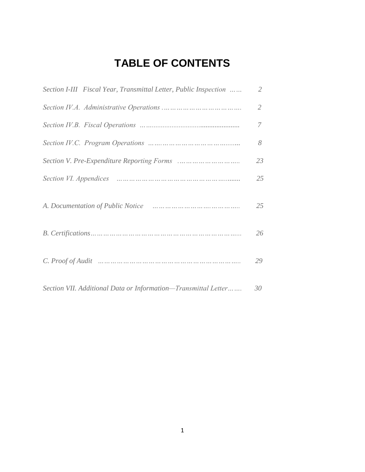## **TABLE OF CONTENTS**

| Section I-III Fiscal Year, Transmittal Letter, Public Inspection | $\overline{2}$ |
|------------------------------------------------------------------|----------------|
|                                                                  | $\mathfrak{2}$ |
|                                                                  | 7              |
|                                                                  | 8              |
|                                                                  | 23             |
|                                                                  | 25             |
|                                                                  | 25             |
|                                                                  | 26             |
|                                                                  | 29             |
| Section VII. Additional Data or Information-Transmittal Letter   | 30             |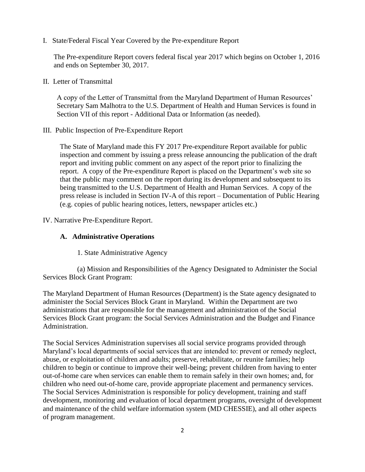I. State/Federal Fiscal Year Covered by the Pre-expenditure Report

The Pre-expenditure Report covers federal fiscal year 2017 which begins on October 1, 2016 and ends on September 30, 2017.

II. Letter of Transmittal

A copy of the Letter of Transmittal from the Maryland Department of Human Resources' Secretary Sam Malhotra to the U.S. Department of Health and Human Services is found in Section VII of this report - Additional Data or Information (as needed).

III. Public Inspection of Pre-Expenditure Report

The State of Maryland made this FY 2017 Pre-expenditure Report available for public inspection and comment by issuing a press release announcing the publication of the draft report and inviting public comment on any aspect of the report prior to finalizing the report. A copy of the Pre-expenditure Report is placed on the Department's web site so that the public may comment on the report during its development and subsequent to its being transmitted to the U.S. Department of Health and Human Services. A copy of the press release is included in Section IV-A of this report – Documentation of Public Hearing (e.g. copies of public hearing notices, letters, newspaper articles etc.)

IV. Narrative Pre-Expenditure Report.

## **A. Administrative Operations**

1. State Administrative Agency

(a) Mission and Responsibilities of the Agency Designated to Administer the Social Services Block Grant Program:

The Maryland Department of Human Resources (Department) is the State agency designated to administer the Social Services Block Grant in Maryland. Within the Department are two administrations that are responsible for the management and administration of the Social Services Block Grant program: the Social Services Administration and the Budget and Finance Administration.

The Social Services Administration supervises all social service programs provided through Maryland's local departments of social services that are intended to: prevent or remedy neglect, abuse, or exploitation of children and adults; preserve, rehabilitate, or reunite families; help children to begin or continue to improve their well-being; prevent children from having to enter out-of-home care when services can enable them to remain safely in their own homes; and, for children who need out-of-home care, provide appropriate placement and permanency services. The Social Services Administration is responsible for policy development, training and staff development, monitoring and evaluation of local department programs, oversight of development and maintenance of the child welfare information system (MD CHESSIE), and all other aspects of program management.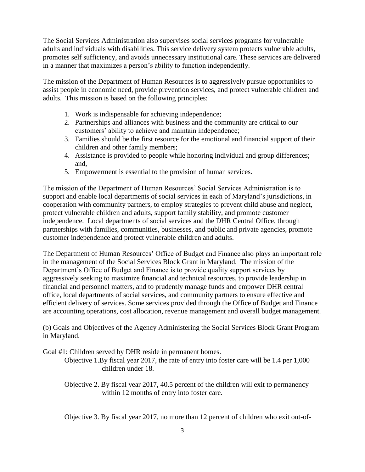The Social Services Administration also supervises social services programs for vulnerable adults and individuals with disabilities. This service delivery system protects vulnerable adults, promotes self sufficiency, and avoids unnecessary institutional care. These services are delivered in a manner that maximizes a person's ability to function independently.

The mission of the Department of Human Resources is to aggressively pursue opportunities to assist people in economic need, provide prevention services, and protect vulnerable children and adults. This mission is based on the following principles:

- 1. Work is indispensable for achieving independence;
- 2. Partnerships and alliances with business and the community are critical to our customers' ability to achieve and maintain independence;
- 3. Families should be the first resource for the emotional and financial support of their children and other family members;
- 4. Assistance is provided to people while honoring individual and group differences; and,
- 5. Empowerment is essential to the provision of human services.

The mission of the Department of Human Resources' Social Services Administration is to support and enable local departments of social services in each of Maryland's jurisdictions, in cooperation with community partners, to employ strategies to prevent child abuse and neglect, protect vulnerable children and adults, support family stability, and promote customer independence. Local departments of social services and the DHR Central Office, through partnerships with families, communities, businesses, and public and private agencies, promote customer independence and protect vulnerable children and adults.

The Department of Human Resources' Office of Budget and Finance also plays an important role in the management of the Social Services Block Grant in Maryland. The mission of the Department's Office of Budget and Finance is to provide quality support services by aggressively seeking to maximize financial and technical resources, to provide leadership in financial and personnel matters, and to prudently manage funds and empower DHR central office, local departments of social services, and community partners to ensure effective and efficient delivery of services. Some services provided through the Office of Budget and Finance are accounting operations, cost allocation, revenue management and overall budget management.

(b) Goals and Objectives of the Agency Administering the Social Services Block Grant Program in Maryland.

Goal #1: Children served by DHR reside in permanent homes.

Objective 1.By fiscal year 2017, the rate of entry into foster care will be 1.4 per 1,000 children under 18.

Objective 2. By fiscal year 2017, 40.5 percent of the children will exit to permanency within 12 months of entry into foster care.

Objective 3. By fiscal year 2017, no more than 12 percent of children who exit out-of-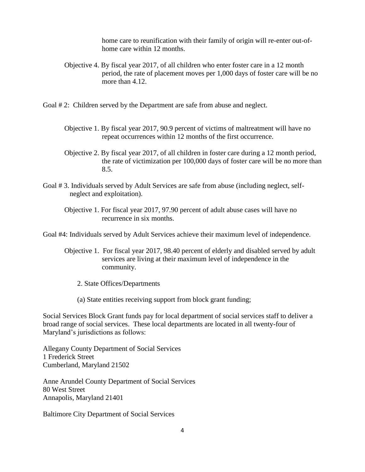home care to reunification with their family of origin will re-enter out-ofhome care within 12 months.

- Objective 4. By fiscal year 2017, of all children who enter foster care in a 12 month period, the rate of placement moves per 1,000 days of foster care will be no more than 4.12.
- Goal # 2: Children served by the Department are safe from abuse and neglect.
	- Objective 1. By fiscal year 2017, 90.9 percent of victims of maltreatment will have no repeat occurrences within 12 months of the first occurrence.
	- Objective 2. By fiscal year 2017, of all children in foster care during a 12 month period, the rate of victimization per 100,000 days of foster care will be no more than 8.5.
- Goal # 3. Individuals served by Adult Services are safe from abuse (including neglect, selfneglect and exploitation).

Objective 1. For fiscal year 2017, 97.90 percent of adult abuse cases will have no recurrence in six months.

Goal #4: Individuals served by Adult Services achieve their maximum level of independence.

- Objective 1. For fiscal year 2017, 98.40 percent of elderly and disabled served by adult services are living at their maximum level of independence in the community.
	- 2. State Offices/Departments
	- (a) State entities receiving support from block grant funding;

Social Services Block Grant funds pay for local department of social services staff to deliver a broad range of social services. These local departments are located in all twenty-four of Maryland's jurisdictions as follows:

Allegany County Department of Social Services 1 Frederick Street Cumberland, Maryland 21502

Anne Arundel County Department of Social Services 80 West Street Annapolis, Maryland 21401

Baltimore City Department of Social Services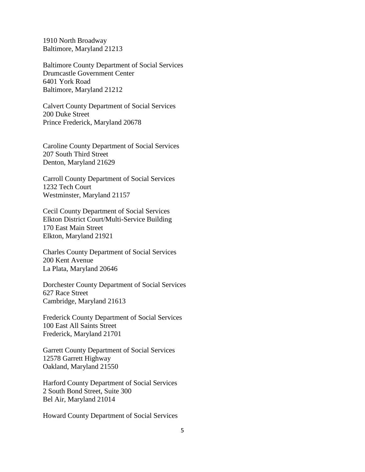1910 North Broadway Baltimore, Maryland 21213

Baltimore County Department of Social Services Drumcastle Government Center 6401 York Road Baltimore, Maryland 21212

Calvert County Department of Social Services 200 Duke Street Prince Frederick, Maryland 20678

Caroline County Department of Social Services 207 South Third Street Denton, Maryland 21629

Carroll County Department of Social Services 1232 Tech Court Westminster, Maryland 21157

Cecil County Department of Social Services Elkton District Court/Multi-Service Building 170 East Main Street Elkton, Maryland 21921

Charles County Department of Social Services 200 Kent Avenue La Plata, Maryland 20646

Dorchester County Department of Social Services 627 Race Street Cambridge, Maryland 21613

Frederick County Department of Social Services 100 East All Saints Street Frederick, Maryland 21701

Garrett County Department of Social Services 12578 Garrett Highway Oakland, Maryland 21550

Harford County Department of Social Services 2 South Bond Street, Suite 300 Bel Air, Maryland 21014

Howard County Department of Social Services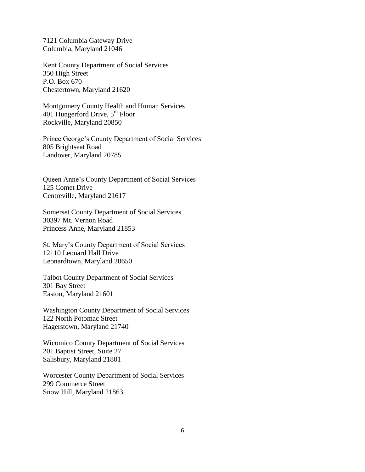7121 Columbia Gateway Drive Columbia, Maryland 21046

Kent County Department of Social Services 350 High Street P.O. Box 670 Chestertown, Maryland 21620

Montgomery County Health and Human Services 401 Hungerford Drive,  $5^{th}$  Floor Rockville, Maryland 20850

Prince George's County Department of Social Services 805 Brightseat Road Landover, Maryland 20785

Queen Anne's County Department of Social Services 125 Comet Drive Centreville, Maryland 21617

Somerset County Department of Social Services 30397 Mt. Vernon Road Princess Anne, Maryland 21853

St. Mary's County Department of Social Services 12110 Leonard Hall Drive Leonardtown, Maryland 20650

Talbot County Department of Social Services 301 Bay Street Easton, Maryland 21601

Washington County Department of Social Services 122 North Potomac Street Hagerstown, Maryland 21740

Wicomico County Department of Social Services 201 Baptist Street, Suite 27 Salisbury, Maryland 21801

Worcester County Department of Social Services 299 Commerce Street Snow Hill, Maryland 21863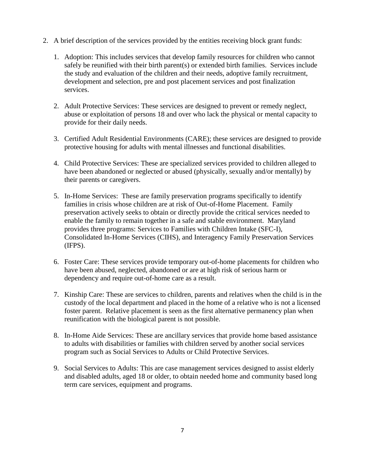- 2. A brief description of the services provided by the entities receiving block grant funds:
	- 1. Adoption: This includes services that develop family resources for children who cannot safely be reunified with their birth parent(s) or extended birth families. Services include the study and evaluation of the children and their needs, adoptive family recruitment, development and selection, pre and post placement services and post finalization services.
	- 2. Adult Protective Services: These services are designed to prevent or remedy neglect, abuse or exploitation of persons 18 and over who lack the physical or mental capacity to provide for their daily needs.
	- 3. Certified Adult Residential Environments (CARE); these services are designed to provide protective housing for adults with mental illnesses and functional disabilities.
	- 4. Child Protective Services: These are specialized services provided to children alleged to have been abandoned or neglected or abused (physically, sexually and/or mentally) by their parents or caregivers.
	- 5. In-Home Services: These are family preservation programs specifically to identify families in crisis whose children are at risk of Out-of-Home Placement. Family preservation actively seeks to obtain or directly provide the critical services needed to enable the family to remain together in a safe and stable environment. Maryland provides three programs: Services to Families with Children Intake (SFC-I), Consolidated In-Home Services (CIHS), and Interagency Family Preservation Services (IFPS).
	- 6. Foster Care: These services provide temporary out-of-home placements for children who have been abused, neglected, abandoned or are at high risk of serious harm or dependency and require out-of-home care as a result.
	- 7. Kinship Care: These are services to children, parents and relatives when the child is in the custody of the local department and placed in the home of a relative who is not a licensed foster parent. Relative placement is seen as the first alternative permanency plan when reunification with the biological parent is not possible.
	- 8. In-Home Aide Services: These are ancillary services that provide home based assistance to adults with disabilities or families with children served by another social services program such as Social Services to Adults or Child Protective Services.
	- 9. Social Services to Adults: This are case management services designed to assist elderly and disabled adults, aged 18 or older, to obtain needed home and community based long term care services, equipment and programs.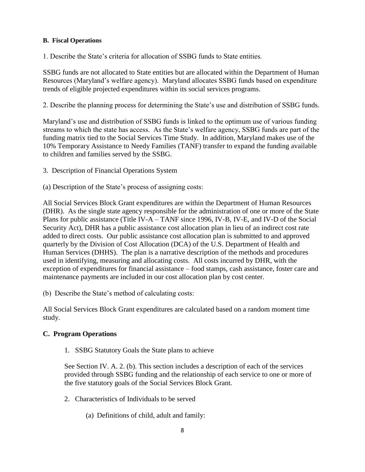## **B. Fiscal Operations**

1. Describe the State's criteria for allocation of SSBG funds to State entities.

SSBG funds are not allocated to State entities but are allocated within the Department of Human Resources (Maryland's welfare agency). Maryland allocates SSBG funds based on expenditure trends of eligible projected expenditures within its social services programs.

2. Describe the planning process for determining the State's use and distribution of SSBG funds.

Maryland's use and distribution of SSBG funds is linked to the optimum use of various funding streams to which the state has access. As the State's welfare agency, SSBG funds are part of the funding matrix tied to the Social Services Time Study. In addition, Maryland makes use of the 10% Temporary Assistance to Needy Families (TANF) transfer to expand the funding available to children and families served by the SSBG.

3. Description of Financial Operations System

(a) Description of the State's process of assigning costs:

All Social Services Block Grant expenditures are within the Department of Human Resources (DHR). As the single state agency responsible for the administration of one or more of the State Plans for public assistance (Title IV-A – TANF since 1996, IV-B, IV-E, and IV-D of the Social Security Act), DHR has a public assistance cost allocation plan in lieu of an indirect cost rate added to direct costs. Our public assistance cost allocation plan is submitted to and approved quarterly by the Division of Cost Allocation (DCA) of the U.S. Department of Health and Human Services (DHHS). The plan is a narrative description of the methods and procedures used in identifying, measuring and allocating costs. All costs incurred by DHR, with the exception of expenditures for financial assistance – food stamps, cash assistance, foster care and maintenance payments are included in our cost allocation plan by cost center.

(b) Describe the State's method of calculating costs:

All Social Services Block Grant expenditures are calculated based on a random moment time study.

## **C. Program Operations**

1. SSBG Statutory Goals the State plans to achieve

See Section IV. A. 2. (b). This section includes a description of each of the services provided through SSBG funding and the relationship of each service to one or more of the five statutory goals of the Social Services Block Grant.

- 2. Characteristics of Individuals to be served
	- (a) Definitions of child, adult and family: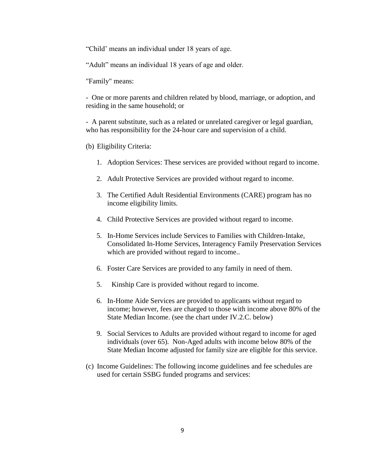"Child' means an individual under 18 years of age.

"Adult" means an individual 18 years of age and older.

"Family" means:

- One or more parents and children related by blood, marriage, or adoption, and residing in the same household; or

- A parent substitute, such as a related or unrelated caregiver or legal guardian, who has responsibility for the 24-hour care and supervision of a child.

- (b) Eligibility Criteria:
	- 1. Adoption Services: These services are provided without regard to income.
	- 2. Adult Protective Services are provided without regard to income.
	- 3. The Certified Adult Residential Environments (CARE) program has no income eligibility limits.
	- 4. Child Protective Services are provided without regard to income.
	- 5. In-Home Services include Services to Families with Children-Intake, Consolidated In-Home Services, Interagency Family Preservation Services which are provided without regard to income..
	- 6. Foster Care Services are provided to any family in need of them.
	- 5. Kinship Care is provided without regard to income.
	- 6. In-Home Aide Services are provided to applicants without regard to income; however, fees are charged to those with income above 80% of the State Median Income. (see the chart under IV.2.C. below)
	- 9. Social Services to Adults are provided without regard to income for aged individuals (over 65). Non-Aged adults with income below 80% of the State Median Income adjusted for family size are eligible for this service.
- (c) Income Guidelines: The following income guidelines and fee schedules are used for certain SSBG funded programs and services: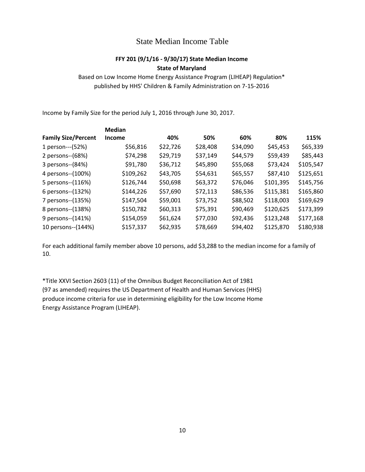## State Median Income Table

## **FFY 201 (9/1/16 - 9/30/17) State Median Income State of Maryland**

Based on Low Income Home Energy Assistance Program (LIHEAP) Regulation\* published by HHS' Children & Family Administration on 7-15-2016

Income by Family Size for the period July 1, 2016 through June 30, 2017.

|                            | <b>Median</b> |          |          |          |           |           |
|----------------------------|---------------|----------|----------|----------|-----------|-----------|
| <b>Family Size/Percent</b> | <b>Income</b> | 40%      | 50%      | 60%      | 80%       | 115%      |
| 1 person---(52%)           | \$56,816      | \$22,726 | \$28,408 | \$34,090 | \$45,453  | \$65,339  |
| 2 persons--(68%)           | \$74,298      | \$29,719 | \$37,149 | \$44,579 | \$59,439  | \$85,443  |
| 3 persons--(84%)           | \$91,780      | \$36,712 | \$45,890 | \$55,068 | \$73,424  | \$105,547 |
| 4 persons--(100%)          | \$109,262     | \$43,705 | \$54,631 | \$65,557 | \$87,410  | \$125,651 |
| 5 persons--(116%)          | \$126,744     | \$50,698 | \$63,372 | \$76,046 | \$101,395 | \$145,756 |
| 6 persons--(132%)          | \$144,226     | \$57,690 | \$72,113 | \$86,536 | \$115,381 | \$165,860 |
| 7 persons--(135%)          | \$147,504     | \$59,001 | \$73,752 | \$88,502 | \$118,003 | \$169,629 |
| 8 persons--(138%)          | \$150,782     | \$60,313 | \$75,391 | \$90,469 | \$120,625 | \$173,399 |
| 9 persons--(141%)          | \$154,059     | \$61,624 | \$77,030 | \$92,436 | \$123,248 | \$177,168 |
| 10 persons--(144%)         | \$157,337     | \$62,935 | \$78,669 | \$94,402 | \$125,870 | \$180,938 |

For each additional family member above 10 persons, add \$3,288 to the median income for a family of 10.

\*Title XXVI Section 2603 (11) of the Omnibus Budget Reconciliation Act of 1981 (97 as amended) requires the US Department of Health and Human Services (HHS) produce income criteria for use in determining eligibility for the Low Income Home Energy Assistance Program (LIHEAP).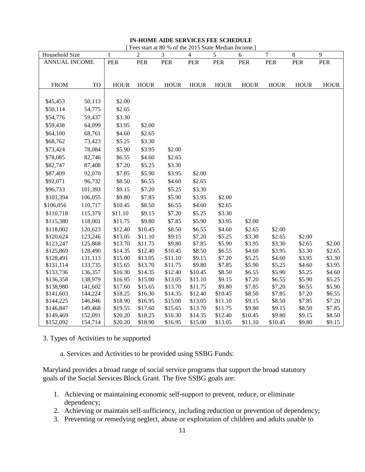#### **IN-HOME AIDE SERVICES FEE SCHEDULE**

| [Fees start at 80 % of the 2015 State Median Income.] |  |
|-------------------------------------------------------|--|
|-------------------------------------------------------|--|

| Household Size         |                    | 1                  | $\overline{2}$     | 3                  | $\overline{4}$     | 5                  | 6                  | $\boldsymbol{7}$  | $8\,$            | 9                |
|------------------------|--------------------|--------------------|--------------------|--------------------|--------------------|--------------------|--------------------|-------------------|------------------|------------------|
| ANNUAL INCOME          |                    | PER                | ${\tt PER}$        | PER                | PER                | PER                | ${\tt PER}$        | PER               | PER              | PER              |
|                        |                    |                    |                    |                    |                    |                    |                    |                   |                  |                  |
|                        |                    |                    |                    |                    |                    |                    |                    |                   |                  |                  |
| <b>FROM</b>            | <b>TO</b>          | <b>HOUR</b>        | <b>HOUR</b>        | <b>HOUR</b>        | <b>HOUR</b>        | <b>HOUR</b>        | <b>HOUR</b>        | <b>HOUR</b>       | <b>HOUR</b>      | <b>HOUR</b>      |
|                        |                    |                    |                    |                    |                    |                    |                    |                   |                  |                  |
| \$45,453               | 50,113             | \$2.00             |                    |                    |                    |                    |                    |                   |                  |                  |
| \$50,114               | 54,775             | \$2.65             |                    |                    |                    |                    |                    |                   |                  |                  |
| \$54,776               | 59,437             | \$3.30             |                    |                    |                    |                    |                    |                   |                  |                  |
| \$59,438               | 64,099             | \$3.95             | \$2.00             |                    |                    |                    |                    |                   |                  |                  |
| \$64,100               | 68,761             | \$4.60             | \$2.65             |                    |                    |                    |                    |                   |                  |                  |
| \$68,762               | 73,423             | \$5.25             | \$3.30             |                    |                    |                    |                    |                   |                  |                  |
| \$73,424               | 78,084             | \$5.90             | \$3.95             | \$2.00             |                    |                    |                    |                   |                  |                  |
| \$78,085               | 82,746             | \$6.55             | \$4.60             | \$2.65             |                    |                    |                    |                   |                  |                  |
| \$82,747               | 87,408             | \$7.20             | \$5.25             | \$3.30             |                    |                    |                    |                   |                  |                  |
| \$87,409               | 92,070             | \$7.85             | \$5.90             | \$3.95             | \$2.00             |                    |                    |                   |                  |                  |
| \$92,071               | 96,732             | \$8.50             | \$6.55             | \$4.60             | \$2.65             |                    |                    |                   |                  |                  |
| \$96,733               | 101,393            | \$9.15             | \$7.20             | \$5.25             | \$3.30             |                    |                    |                   |                  |                  |
| \$101,394              | 106,055            | \$9.80             | \$7.85             | \$5.90             | \$3.95             | \$2.00             |                    |                   |                  |                  |
| \$106,056              | 110,717            | \$10.45            | \$8.50             | \$6.55             | \$4.60             | \$2.65             |                    |                   |                  |                  |
| \$110,718              | 115,379            | \$11.10            | \$9.15             | \$7.20             | \$5.25             | \$3.30             |                    |                   |                  |                  |
| \$115,380              | 118,001            | \$11.75            | \$9.80             | \$7.85             | \$5.90             | \$3.95             | \$2.00             |                   |                  |                  |
| \$118,002              | 120,623            | \$12.40            | \$10.45            | \$8.50             | \$6.55             | \$4.60             | \$2.65             | \$2.00            |                  |                  |
| \$120,624              | 123,246            | \$13.05            | \$11.10            | \$9.15             | \$7.20             | \$5.25             | \$3.30             | \$2.65            | \$2.00           |                  |
| \$123,247              | 125,868            | \$13.70            | \$11.75            | \$9.80             | \$7.85             | \$5.90             | \$3.95             | \$3.30            | \$2.65           | \$2.00           |
| \$125,869              | 128,490            | \$14.35            | \$12.40            | \$10.45            | \$8.50             | \$6.55             | \$4.60             | \$3.95            | \$3.30           | \$2.65           |
| \$128,491              | 131,113            | \$15.00            | \$13.05            | \$11.10            | \$9.15             | \$7.20             | \$5.25             | \$4.60            | \$3.95           | \$3.30           |
| \$131,114              | 133,735            | \$15.65            | \$13.70            | \$11.75            | \$9.80             | \$7.85             | \$5.90             | \$5.25            | \$4.60           | \$3.95           |
| \$133,736              | 136,357            | \$16.30            | \$14.35            | \$12.40            | \$10.45            | \$8.50             | \$6.55             | \$5.90            | \$5.25           | \$4.60           |
| \$136,358              | 138,979            | \$16.95            | \$15.00            | \$13.05            | \$11.10            | \$9.15             | \$7.20             | \$6.55            | \$5.90           | \$5.25           |
| \$138,980              | 141,602            | \$17.60            | \$15.65            | \$13.70            | \$11.75            | \$9.80             | \$7.85             | \$7.20            | \$6.55           | \$5.90           |
| \$141,603              | 144,224            | \$18.25            | \$16.30            | \$14.35            | \$12.40            | \$10.45            | \$8.50             | \$7.85            | \$7.20           | \$6.55           |
| \$144,225              | 146,846            | \$18.90            | \$16.95            | \$15.00            | \$13.05            | \$11.10            | \$9.15             | \$8.50            | \$7.85           | \$7.20           |
| \$146,847              | 149,468            | \$19.55            | \$17.60            | \$15.65            | \$13.70            | \$11.75            | \$9.80             | \$9.15            | \$8.50           | \$7.85           |
| \$149,469<br>\$152,092 | 152,091<br>154,714 | \$20.20<br>\$20.20 | \$18.25<br>\$18.90 | \$16.30<br>\$16.95 | \$14.35<br>\$15.00 | \$12.40<br>\$13.05 | \$10.45<br>\$11.10 | \$9.80<br>\$10.45 | \$9.15<br>\$9.80 | \$8.50<br>\$9.15 |
|                        |                    |                    |                    |                    |                    |                    |                    |                   |                  |                  |

3. Types of Activities to be supported

a. Services and Activities to be provided using SSBG Funds:

Maryland provides a broad range of social service programs that support the broad statutory goals of the Social Services Block Grant. The five SSBG goals are:

- 1. Achieving or maintaining economic self-support to prevent, reduce, or eliminate dependency;
- 2. Achieving or maintain self-sufficiency, including reduction or prevention of dependency;
- 3. Preventing or remedying neglect, abuse or exploitation of children and adults unable to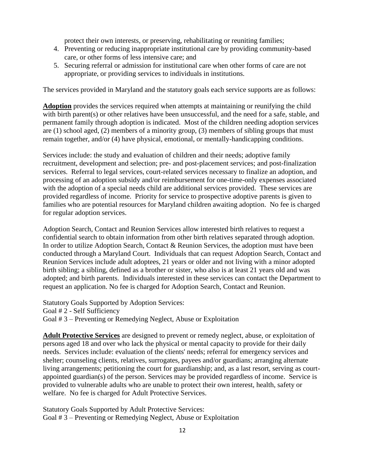protect their own interests, or preserving, rehabilitating or reuniting families;

- 4. Preventing or reducing inappropriate institutional care by providing community-based care, or other forms of less intensive care; and
- 5. Securing referral or admission for institutional care when other forms of care are not appropriate, or providing services to individuals in institutions.

The services provided in Maryland and the statutory goals each service supports are as follows:

**Adoption** provides the services required when attempts at maintaining or reunifying the child with birth parent(s) or other relatives have been unsuccessful, and the need for a safe, stable, and permanent family through adoption is indicated. Most of the children needing adoption services are (1) school aged, (2) members of a minority group, (3) members of sibling groups that must remain together, and/or (4) have physical, emotional, or mentally-handicapping conditions.

Services include: the study and evaluation of children and their needs; adoptive family recruitment, development and selection; pre- and post-placement services; and post-finalization services. Referral to legal services, court-related services necessary to finalize an adoption, and processing of an adoption subsidy and/or reimbursement for one-time-only expenses associated with the adoption of a special needs child are additional services provided. These services are provided regardless of income. Priority for service to prospective adoptive parents is given to families who are potential resources for Maryland children awaiting adoption. No fee is charged for regular adoption services.

Adoption Search, Contact and Reunion Services allow interested birth relatives to request a confidential search to obtain information from other birth relatives separated through adoption. In order to utilize Adoption Search, Contact & Reunion Services, the adoption must have been conducted through a Maryland Court. Individuals that can request Adoption Search, Contact and Reunion Services include adult adoptees, 21 years or older and not living with a minor adopted birth sibling; a sibling, defined as a brother or sister, who also is at least 21 years old and was adopted; and birth parents. Individuals interested in these services can contact the Department to request an application. No fee is charged for Adoption Search, Contact and Reunion.

Statutory Goals Supported by Adoption Services: Goal # 2 - Self Sufficiency Goal # 3 – Preventing or Remedying Neglect, Abuse or Exploitation

**Adult Protective Services** are designed to prevent or remedy neglect, abuse, or exploitation of persons aged 18 and over who lack the physical or mental capacity to provide for their daily needs. Services include: evaluation of the clients' needs; referral for emergency services and shelter; counseling clients, relatives, surrogates, payees and/or guardians; arranging alternate living arrangements; petitioning the court for guardianship; and, as a last resort, serving as courtappointed guardian(s) of the person. Services may be provided regardless of income. Service is provided to vulnerable adults who are unable to protect their own interest, health, safety or welfare. No fee is charged for Adult Protective Services.

Statutory Goals Supported by Adult Protective Services: Goal # 3 – Preventing or Remedying Neglect, Abuse or Exploitation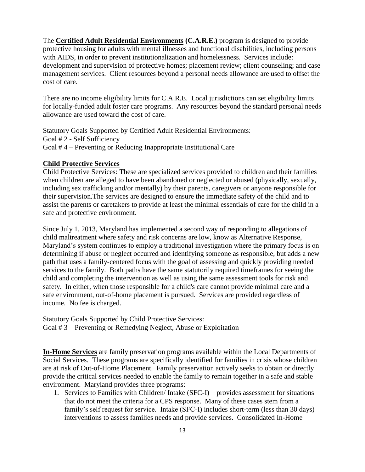The **Certified Adult Residential Environments (C.A.R.E.)** program is designed to provide protective housing for adults with mental illnesses and functional disabilities, including persons with AIDS, in order to prevent institutionalization and homelessness. Services include: development and supervision of protective homes; placement review; client counseling; and case management services. Client resources beyond a personal needs allowance are used to offset the cost of care.

There are no income eligibility limits for C.A.R.E. Local jurisdictions can set eligibility limits for locally-funded adult foster care programs. Any resources beyond the standard personal needs allowance are used toward the cost of care.

Statutory Goals Supported by Certified Adult Residential Environments: Goal # 2 - Self Sufficiency Goal # 4 – Preventing or Reducing Inappropriate Institutional Care

## **Child Protective Services**

Child Protective Services: These are specialized services provided to children and their families when children are alleged to have been abandoned or neglected or abused (physically, sexually, including sex trafficking and/or mentally) by their parents, caregivers or anyone responsible for their supervision.The services are designed to ensure the immediate safety of the child and to assist the parents or caretakers to provide at least the minimal essentials of care for the child in a safe and protective environment.

Since July 1, 2013, Maryland has implemented a second way of responding to allegations of child maltreatment where safety and risk concerns are low, know as Alternative Response, Maryland's system continues to employ a traditional investigation where the primary focus is on determining if abuse or neglect occurred and identifying someone as responsible, but adds a new path that uses a family-centered focus with the goal of assessing and quickly providing needed services to the family. Both paths have the same statutorily required timeframes for seeing the child and completing the intervention as well as using the same assessment tools for risk and safety. In either, when those responsible for a child's care cannot provide minimal care and a safe environment, out-of-home placement is pursued. Services are provided regardless of income. No fee is charged.

Statutory Goals Supported by Child Protective Services: Goal # 3 – Preventing or Remedying Neglect, Abuse or Exploitation

**In-Home Services** are family preservation programs available within the Local Departments of Social Services. These programs are specifically identified for families in crisis whose children are at risk of Out-of-Home Placement. Family preservation actively seeks to obtain or directly provide the critical services needed to enable the family to remain together in a safe and stable environment. Maryland provides three programs:

1. Services to Families with Children/ Intake (SFC-I) – provides assessment for situations that do not meet the criteria for a CPS response. Many of these cases stem from a family's self request for service. Intake (SFC-I) includes short-term (less than 30 days) interventions to assess families needs and provide services. Consolidated In-Home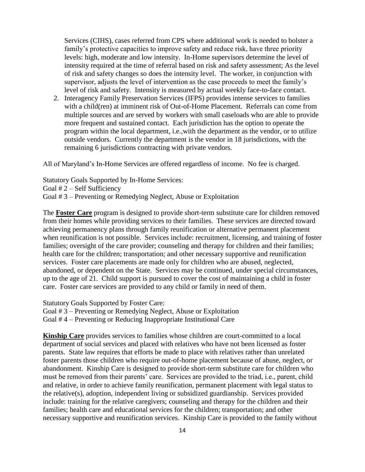Services (CIHS), cases referred from CPS where additional work is needed to bolster a family's protective capacities to improve safety and reduce risk, have three priority levels: high, moderate and low intensity. In-Home supervisors determine the level of intensity required at the time of referral based on risk and safety assessment; As the level of risk and safety changes so does the intensity level. The worker, in conjunction with supervisor, adjusts the level of intervention as the case proceeds to meet the family's level of risk and safety. Intensity is measured by actual weekly face-to-face contact.

2. Interagency Family Preservation Services (IFPS) provides intense services to families with a child(ren) at imminent risk of Out-of-Home Placement. Referrals can come from multiple sources and are served by workers with small caseloads who are able to provide more frequent and sustained contact. Each jurisdiction has the option to operate the program within the local department, i.e.,with the department as the vendor, or to utilize outside vendors. Currently the department is the vendor in 18 jurisdictions, with the remaining 6 jurisdictions contracting with private vendors.

All of Maryland's In-Home Services are offered regardless of income. No fee is charged.

Statutory Goals Supported by In-Home Services: Goal # 2 – Self Sufficiency Goal # 3 – Preventing or Remedying Neglect, Abuse or Exploitation

The **Foster Care** program is designed to provide short-term substitute care for children removed from their homes while providing services to their families. These services are directed toward achieving permanency plans through family reunification or alternative permanent placement when reunification is not possible. Services include: recruitment, licensing, and training of foster families; oversight of the care provider; counseling and therapy for children and their families; health care for the children; transportation; and other necessary supportive and reunification services. Foster care placements are made only for children who are abused, neglected, abandoned, or dependent on the State. Services may be continued, under special circumstances, up to the age of 21. Child support is pursued to cover the cost of maintaining a child in foster care. Foster care services are provided to any child or family in need of them.

Statutory Goals Supported by Foster Care:

Goal # 3 – Preventing or Remedying Neglect, Abuse or Exploitation

Goal # 4 – Preventing or Reducing Inappropriate Institutional Care

**Kinship Care** provides services to families whose children are court-committed to a local department of social services and placed with relatives who have not been licensed as foster parents. State law requires that efforts be made to place with relatives rather than unrelated foster parents those children who require out-of-home placement because of abuse, neglect, or abandonment. Kinship Care is designed to provide short-term substitute care for children who must be removed from their parents' care. Services are provided to the triad, i.e., parent, child and relative, in order to achieve family reunification, permanent placement with legal status to the relative(s), adoption, independent living or subsidized guardianship. Services provided include: training for the relative caregivers; counseling and therapy for the children and their families; health care and educational services for the children; transportation; and other necessary supportive and reunification services. Kinship Care is provided to the family without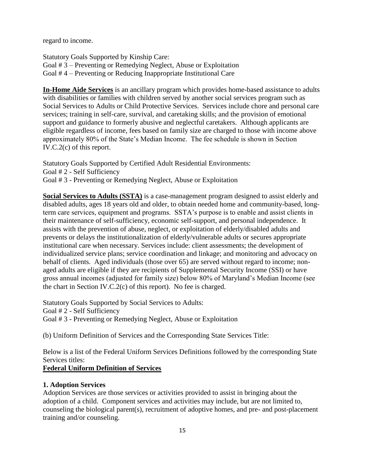regard to income.

Statutory Goals Supported by Kinship Care: Goal # 3 – Preventing or Remedying Neglect, Abuse or Exploitation Goal # 4 – Preventing or Reducing Inappropriate Institutional Care

**In-Home Aide Services** is an ancillary program which provides home-based assistance to adults with disabilities or families with children served by another social services program such as Social Services to Adults or Child Protective Services. Services include chore and personal care services; training in self-care, survival, and caretaking skills; and the provision of emotional support and guidance to formerly abusive and neglectful caretakers. Although applicants are eligible regardless of income, fees based on family size are charged to those with income above approximately 80% of the State's Median Income. The fee schedule is shown in Section IV.C.2(c) of this report.

Statutory Goals Supported by Certified Adult Residential Environments: Goal # 2 - Self Sufficiency Goal # 3 - Preventing or Remedying Neglect, Abuse or Exploitation

**Social Services to Adults (SSTA)** is a case-management program designed to assist elderly and disabled adults, ages 18 years old and older, to obtain needed home and community-based, longterm care services, equipment and programs. SSTA's purpose is to enable and assist clients in their maintenance of self-sufficiency, economic self-support, and personal independence. It assists with the prevention of abuse, neglect, or exploitation of elderly/disabled adults and prevents or delays the institutionalization of elderly/vulnerable adults or secures appropriate institutional care when necessary. Services include: client assessments; the development of individualized service plans; service coordination and linkage; and monitoring and advocacy on behalf of clients. Aged individuals (those over 65) are served without regard to income; nonaged adults are eligible if they are recipients of Supplemental Security Income (SSI) or have gross annual incomes (adjusted for family size) below 80% of Maryland's Median Income (see the chart in Section IV.C.2(c) of this report). No fee is charged.

Statutory Goals Supported by Social Services to Adults: Goal # 2 - Self Sufficiency Goal # 3 - Preventing or Remedying Neglect, Abuse or Exploitation

(b) Uniform Definition of Services and the Corresponding State Services Title:

Below is a list of the Federal Uniform Services Definitions followed by the corresponding State Services titles:

## **Federal Uniform Definition of Services**

## **1. Adoption Services**

Adoption Services are those services or activities provided to assist in bringing about the adoption of a child. Component services and activities may include, but are not limited to, counseling the biological parent(s), recruitment of adoptive homes, and pre- and post-placement training and/or counseling.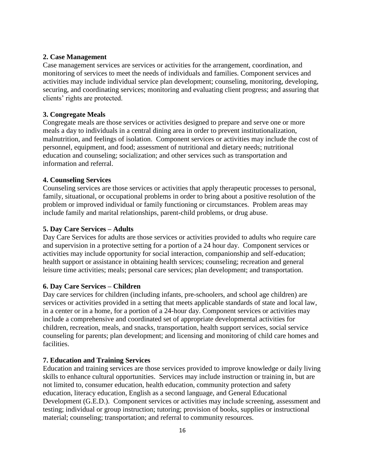## **2. Case Management**

Case management services are services or activities for the arrangement, coordination, and monitoring of services to meet the needs of individuals and families. Component services and activities may include individual service plan development; counseling, monitoring, developing, securing, and coordinating services; monitoring and evaluating client progress; and assuring that clients' rights are protected.

#### **3. Congregate Meals**

Congregate meals are those services or activities designed to prepare and serve one or more meals a day to individuals in a central dining area in order to prevent institutionalization, malnutrition, and feelings of isolation. Component services or activities may include the cost of personnel, equipment, and food; assessment of nutritional and dietary needs; nutritional education and counseling; socialization; and other services such as transportation and information and referral.

### **4. Counseling Services**

Counseling services are those services or activities that apply therapeutic processes to personal, family, situational, or occupational problems in order to bring about a positive resolution of the problem or improved individual or family functioning or circumstances. Problem areas may include family and marital relationships, parent-child problems, or drug abuse.

### **5. Day Care Services – Adults**

Day Care Services for adults are those services or activities provided to adults who require care and supervision in a protective setting for a portion of a 24 hour day. Component services or activities may include opportunity for social interaction, companionship and self-education; health support or assistance in obtaining health services; counseling; recreation and general leisure time activities; meals; personal care services; plan development; and transportation.

#### **6. Day Care Services – Children**

Day care services for children (including infants, pre-schoolers, and school age children) are services or activities provided in a setting that meets applicable standards of state and local law, in a center or in a home, for a portion of a 24-hour day. Component services or activities may include a comprehensive and coordinated set of appropriate developmental activities for children, recreation, meals, and snacks, transportation, health support services, social service counseling for parents; plan development; and licensing and monitoring of child care homes and facilities.

#### **7. Education and Training Services**

Education and training services are those services provided to improve knowledge or daily living skills to enhance cultural opportunities. Services may include instruction or training in, but are not limited to, consumer education, health education, community protection and safety education, literacy education, English as a second language, and General Educational Development (G.E.D.). Component services or activities may include screening, assessment and testing; individual or group instruction; tutoring; provision of books, supplies or instructional material; counseling; transportation; and referral to community resources.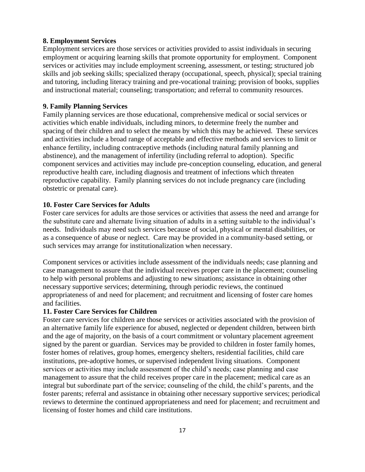### **8. Employment Services**

Employment services are those services or activities provided to assist individuals in securing employment or acquiring learning skills that promote opportunity for employment. Component services or activities may include employment screening, assessment, or testing; structured job skills and job seeking skills; specialized therapy (occupational, speech, physical); special training and tutoring, including literacy training and pre-vocational training; provision of books, supplies and instructional material; counseling; transportation; and referral to community resources.

## **9. Family Planning Services**

Family planning services are those educational, comprehensive medical or social services or activities which enable individuals, including minors, to determine freely the number and spacing of their children and to select the means by which this may be achieved. These services and activities include a broad range of acceptable and effective methods and services to limit or enhance fertility, including contraceptive methods (including natural family planning and abstinence), and the management of infertility (including referral to adoption). Specific component services and activities may include pre-conception counseling, education, and general reproductive health care, including diagnosis and treatment of infections which threaten reproductive capability. Family planning services do not include pregnancy care (including obstetric or prenatal care).

## **10. Foster Care Services for Adults**

Foster care services for adults are those services or activities that assess the need and arrange for the substitute care and alternate living situation of adults in a setting suitable to the individual's needs. Individuals may need such services because of social, physical or mental disabilities, or as a consequence of abuse or neglect. Care may be provided in a community-based setting, or such services may arrange for institutionalization when necessary.

Component services or activities include assessment of the individuals needs; case planning and case management to assure that the individual receives proper care in the placement; counseling to help with personal problems and adjusting to new situations; assistance in obtaining other necessary supportive services; determining, through periodic reviews, the continued appropriateness of and need for placement; and recruitment and licensing of foster care homes and facilities.

## **11. Foster Care Services for Children**

Foster care services for children are those services or activities associated with the provision of an alternative family life experience for abused, neglected or dependent children, between birth and the age of majority, on the basis of a court commitment or voluntary placement agreement signed by the parent or guardian. Services may be provided to children in foster family homes, foster homes of relatives, group homes, emergency shelters, residential facilities, child care institutions, pre-adoptive homes, or supervised independent living situations. Component services or activities may include assessment of the child's needs; case planning and case management to assure that the child receives proper care in the placement; medical care as an integral but subordinate part of the service; counseling of the child, the child's parents, and the foster parents; referral and assistance in obtaining other necessary supportive services; periodical reviews to determine the continued appropriateness and need for placement; and recruitment and licensing of foster homes and child care institutions.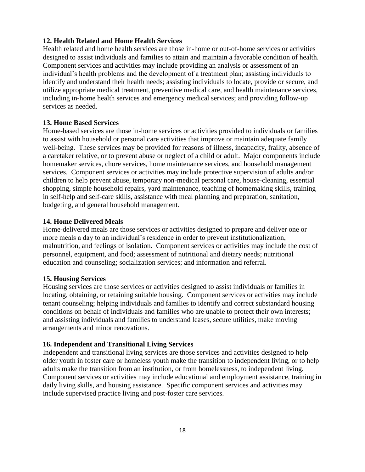## **12. Health Related and Home Health Services**

Health related and home health services are those in-home or out-of-home services or activities designed to assist individuals and families to attain and maintain a favorable condition of health. Component services and activities may include providing an analysis or assessment of an individual's health problems and the development of a treatment plan; assisting individuals to identify and understand their health needs; assisting individuals to locate, provide or secure, and utilize appropriate medical treatment, preventive medical care, and health maintenance services, including in-home health services and emergency medical services; and providing follow-up services as needed.

## **13. Home Based Services**

Home-based services are those in-home services or activities provided to individuals or families to assist with household or personal care activities that improve or maintain adequate family well-being. These services may be provided for reasons of illness, incapacity, frailty, absence of a caretaker relative, or to prevent abuse or neglect of a child or adult. Major components include homemaker services, chore services, home maintenance services, and household management services. Component services or activities may include protective supervision of adults and/or children to help prevent abuse, temporary non-medical personal care, house-cleaning, essential shopping, simple household repairs, yard maintenance, teaching of homemaking skills, training in self-help and self-care skills, assistance with meal planning and preparation, sanitation, budgeting, and general household management.

## **14. Home Delivered Meals**

Home-delivered meals are those services or activities designed to prepare and deliver one or more meals a day to an individual's residence in order to prevent institutionalization, malnutrition, and feelings of isolation. Component services or activities may include the cost of personnel, equipment, and food; assessment of nutritional and dietary needs; nutritional education and counseling; socialization services; and information and referral.

## **15. Housing Services**

Housing services are those services or activities designed to assist individuals or families in locating, obtaining, or retaining suitable housing. Component services or activities may include tenant counseling; helping individuals and families to identify and correct substandard housing conditions on behalf of individuals and families who are unable to protect their own interests; and assisting individuals and families to understand leases, secure utilities, make moving arrangements and minor renovations.

## **16. Independent and Transitional Living Services**

Independent and transitional living services are those services and activities designed to help older youth in foster care or homeless youth make the transition to independent living, or to help adults make the transition from an institution, or from homelessness, to independent living. Component services or activities may include educational and employment assistance, training in daily living skills, and housing assistance. Specific component services and activities may include supervised practice living and post-foster care services.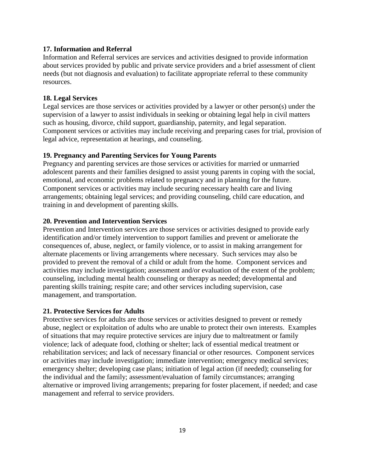## **17. Information and Referral**

Information and Referral services are services and activities designed to provide information about services provided by public and private service providers and a brief assessment of client needs (but not diagnosis and evaluation) to facilitate appropriate referral to these community resources.

#### **18. Legal Services**

Legal services are those services or activities provided by a lawyer or other person(s) under the supervision of a lawyer to assist individuals in seeking or obtaining legal help in civil matters such as housing, divorce, child support, guardianship, paternity, and legal separation. Component services or activities may include receiving and preparing cases for trial, provision of legal advice, representation at hearings, and counseling.

#### **19. Pregnancy and Parenting Services for Young Parents**

Pregnancy and parenting services are those services or activities for married or unmarried adolescent parents and their families designed to assist young parents in coping with the social, emotional, and economic problems related to pregnancy and in planning for the future. Component services or activities may include securing necessary health care and living arrangements; obtaining legal services; and providing counseling, child care education, and training in and development of parenting skills.

#### **20. Prevention and Intervention Services**

Prevention and Intervention services are those services or activities designed to provide early identification and/or timely intervention to support families and prevent or ameliorate the consequences of, abuse, neglect, or family violence, or to assist in making arrangement for alternate placements or living arrangements where necessary. Such services may also be provided to prevent the removal of a child or adult from the home. Component services and activities may include investigation; assessment and/or evaluation of the extent of the problem; counseling, including mental health counseling or therapy as needed; developmental and parenting skills training; respite care; and other services including supervision, case management, and transportation.

#### **21. Protective Services for Adults**

Protective services for adults are those services or activities designed to prevent or remedy abuse, neglect or exploitation of adults who are unable to protect their own interests. Examples of situations that may require protective services are injury due to maltreatment or family violence; lack of adequate food, clothing or shelter; lack of essential medical treatment or rehabilitation services; and lack of necessary financial or other resources. Component services or activities may include investigation; immediate intervention; emergency medical services; emergency shelter; developing case plans; initiation of legal action (if needed); counseling for the individual and the family; assessment/evaluation of family circumstances; arranging alternative or improved living arrangements; preparing for foster placement, if needed; and case management and referral to service providers.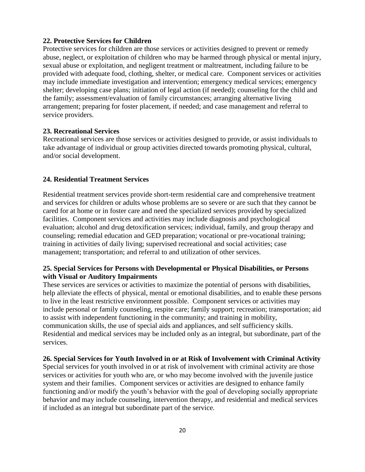### **22. Protective Services for Children**

Protective services for children are those services or activities designed to prevent or remedy abuse, neglect, or exploitation of children who may be harmed through physical or mental injury, sexual abuse or exploitation, and negligent treatment or maltreatment, including failure to be provided with adequate food, clothing, shelter, or medical care. Component services or activities may include immediate investigation and intervention; emergency medical services; emergency shelter; developing case plans; initiation of legal action (if needed); counseling for the child and the family; assessment/evaluation of family circumstances; arranging alternative living arrangement; preparing for foster placement, if needed; and case management and referral to service providers.

## **23. Recreational Services**

Recreational services are those services or activities designed to provide, or assist individuals to take advantage of individual or group activities directed towards promoting physical, cultural, and/or social development.

### **24. Residential Treatment Services**

Residential treatment services provide short-term residential care and comprehensive treatment and services for children or adults whose problems are so severe or are such that they cannot be cared for at home or in foster care and need the specialized services provided by specialized facilities. Component services and activities may include diagnosis and psychological evaluation; alcohol and drug detoxification services; individual, family, and group therapy and counseling; remedial education and GED preparation; vocational or pre-vocational training; training in activities of daily living; supervised recreational and social activities; case management; transportation; and referral to and utilization of other services.

## **25. Special Services for Persons with Developmental or Physical Disabilities, or Persons with Visual or Auditory Impairments**

These services are services or activities to maximize the potential of persons with disabilities, help alleviate the effects of physical, mental or emotional disabilities, and to enable these persons to live in the least restrictive environment possible. Component services or activities may include personal or family counseling, respite care; family support; recreation; transportation; aid to assist with independent functioning in the community; and training in mobility, communication skills, the use of special aids and appliances, and self sufficiency skills. Residential and medical services may be included only as an integral, but subordinate, part of the services.

#### **26. Special Services for Youth Involved in or at Risk of Involvement with Criminal Activity**

Special services for youth involved in or at risk of involvement with criminal activity are those services or activities for youth who are, or who may become involved with the juvenile justice system and their families. Component services or activities are designed to enhance family functioning and/or modify the youth's behavior with the goal of developing socially appropriate behavior and may include counseling, intervention therapy, and residential and medical services if included as an integral but subordinate part of the service.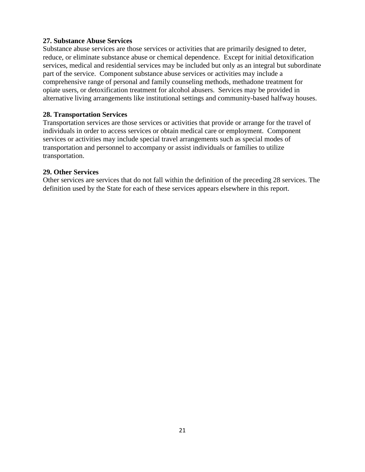## **27. Substance Abuse Services**

Substance abuse services are those services or activities that are primarily designed to deter, reduce, or eliminate substance abuse or chemical dependence. Except for initial detoxification services, medical and residential services may be included but only as an integral but subordinate part of the service. Component substance abuse services or activities may include a comprehensive range of personal and family counseling methods, methadone treatment for opiate users, or detoxification treatment for alcohol abusers. Services may be provided in alternative living arrangements like institutional settings and community-based halfway houses.

## **28. Transportation Services**

Transportation services are those services or activities that provide or arrange for the travel of individuals in order to access services or obtain medical care or employment. Component services or activities may include special travel arrangements such as special modes of transportation and personnel to accompany or assist individuals or families to utilize transportation.

## **29. Other Services**

Other services are services that do not fall within the definition of the preceding 28 services. The definition used by the State for each of these services appears elsewhere in this report.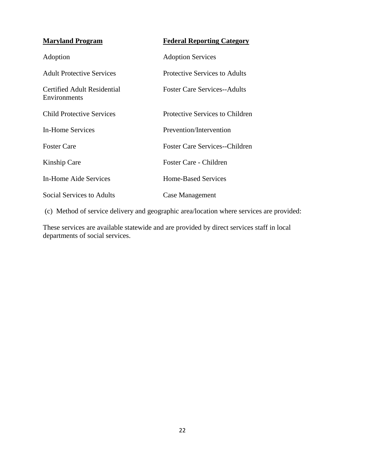| <b>Maryland Program</b>                     | <b>Federal Reporting Category</b>     |
|---------------------------------------------|---------------------------------------|
| Adoption                                    | <b>Adoption Services</b>              |
| <b>Adult Protective Services</b>            | Protective Services to Adults         |
| Certified Adult Residential<br>Environments | <b>Foster Care Services--Adults</b>   |
| Child Protective Services                   | Protective Services to Children       |
| In-Home Services                            | Prevention/Intervention               |
| <b>Foster Care</b>                          | <b>Foster Care Services--Children</b> |
| Kinship Care                                | Foster Care - Children                |
| In-Home Aide Services                       | Home-Based Services                   |
| Social Services to Adults                   | Case Management                       |

(c) Method of service delivery and geographic area/location where services are provided:

These services are available statewide and are provided by direct services staff in local departments of social services.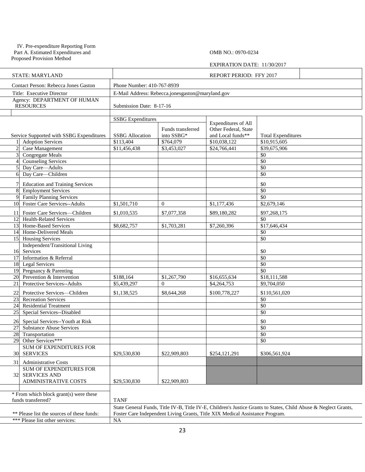#### IV. Pre-expenditure Reporting Form Part A. Estimated Expenditures and

Proposed Provision Method

OMB NO.: 0970-0234

#### EXPIRATION DATE: 11/30/2017

|                | <b>STATE: MARYLAND</b>                                             | REPORT PERIOD: FFY 2017                          |                   |                                                                              |                                                                                                                 |  |  |
|----------------|--------------------------------------------------------------------|--------------------------------------------------|-------------------|------------------------------------------------------------------------------|-----------------------------------------------------------------------------------------------------------------|--|--|
|                | Contact Person: Rebecca Jones Gaston                               | Phone Number: 410-767-8939                       |                   |                                                                              |                                                                                                                 |  |  |
|                | Title: Executive Director                                          | E-Mail Address: Rebecca.jonesgaston@maryland.gov |                   |                                                                              |                                                                                                                 |  |  |
|                | Agency: DEPARTMENT OF HUMAN<br><b>RESOURCES</b>                    | Submission Date: 8-17-16                         |                   |                                                                              |                                                                                                                 |  |  |
|                |                                                                    |                                                  |                   |                                                                              |                                                                                                                 |  |  |
|                |                                                                    | <b>SSBG</b> Expenditures                         |                   | <b>Expenditures of All</b>                                                   |                                                                                                                 |  |  |
|                |                                                                    |                                                  | Funds transferred | Other Federal, State                                                         |                                                                                                                 |  |  |
|                | Service Supported with SSBG Expenditures                           | <b>SSBG</b> Allocation                           | into SSBG*        | and Local funds**                                                            | <b>Total Expenditures</b>                                                                                       |  |  |
|                | <b>Adoption Services</b>                                           | \$113,404                                        | \$764,079         | \$10,038,122                                                                 | \$10,915,605                                                                                                    |  |  |
| $\overline{2}$ | Case Management                                                    | \$11,456,438                                     | \$3,453,027       | \$24,766,441                                                                 | \$39,675,906                                                                                                    |  |  |
|                | Congregate Meals                                                   |                                                  |                   |                                                                              | \$0                                                                                                             |  |  |
|                | <b>Counseling Services</b>                                         |                                                  |                   |                                                                              | \$0                                                                                                             |  |  |
| 5              | Day Care-Adults                                                    |                                                  |                   |                                                                              | \$0                                                                                                             |  |  |
| 6              | Day Care-Children                                                  |                                                  |                   |                                                                              | \$0                                                                                                             |  |  |
|                | <b>Education and Training Services</b>                             |                                                  |                   |                                                                              | \$0                                                                                                             |  |  |
| 8              | <b>Employment Services</b>                                         |                                                  |                   |                                                                              | $\overline{50}$                                                                                                 |  |  |
|                | <b>Family Planning Services</b>                                    |                                                  |                   |                                                                              | \$0                                                                                                             |  |  |
| 10             | <b>Foster Care Services--Adults</b>                                | \$1,501,710                                      | $\Omega$          | \$1,177,436                                                                  | \$2,679,146                                                                                                     |  |  |
| 11             | Foster Care Services-Children                                      | \$1,010,535                                      | \$7,077,358       | \$89,180,282                                                                 | \$97,268,175                                                                                                    |  |  |
| 12             | <b>Health-Related Services</b>                                     |                                                  |                   |                                                                              | \$0                                                                                                             |  |  |
| 13             | Home-Based Services                                                | \$8,682,757                                      | \$1,703,281       | \$7,260,396                                                                  | \$17,646,434                                                                                                    |  |  |
|                | 14 Home-Delivered Meals                                            |                                                  |                   |                                                                              | \$0                                                                                                             |  |  |
|                | 15 Housing Services                                                |                                                  |                   |                                                                              | \$0                                                                                                             |  |  |
|                | Independent/Transitional Living                                    |                                                  |                   |                                                                              |                                                                                                                 |  |  |
| 16             | Services                                                           |                                                  |                   |                                                                              | \$0                                                                                                             |  |  |
| 17             | Information & Referral                                             |                                                  |                   |                                                                              | \$0                                                                                                             |  |  |
|                | 18 Legal Services                                                  |                                                  |                   |                                                                              | \$0                                                                                                             |  |  |
|                | 19 Pregnancy & Parenting                                           |                                                  |                   |                                                                              | \$0                                                                                                             |  |  |
| 20             | Prevention & Intervention                                          | \$188,164                                        | \$1,267,790       | \$16,655,634                                                                 | \$18,111,588                                                                                                    |  |  |
| 21             | Protective Services--Adults                                        | \$5,439,297                                      | $\Omega$          | \$4,264,753                                                                  | \$9,704,050                                                                                                     |  |  |
| 22             | Protective Services-Children                                       | \$1,138,525                                      | \$8,644,268       | \$100,778,227                                                                | \$110,561,020                                                                                                   |  |  |
|                | 23 Recreation Services                                             |                                                  |                   |                                                                              | \$0                                                                                                             |  |  |
|                | 24 Residential Treatment                                           |                                                  |                   |                                                                              | \$0                                                                                                             |  |  |
| 25             | Special Services--Disabled                                         |                                                  |                   |                                                                              | $\overline{50}$                                                                                                 |  |  |
|                |                                                                    |                                                  |                   |                                                                              |                                                                                                                 |  |  |
| 26<br>27       | Special Services--Youth at Risk<br><b>Substance Abuse Services</b> |                                                  |                   |                                                                              | \$0<br>$\overline{50}$                                                                                          |  |  |
|                | 28 Transportation                                                  |                                                  |                   |                                                                              | \$0                                                                                                             |  |  |
|                | 29 Other Services***                                               |                                                  |                   |                                                                              | \$0                                                                                                             |  |  |
|                | SUM OF EXPENDITURES FOR                                            |                                                  |                   |                                                                              |                                                                                                                 |  |  |
|                | 30 SERVICES                                                        | \$29,530,830                                     | \$22,909,803      | \$254,121,291                                                                | \$306,561,924                                                                                                   |  |  |
|                |                                                                    |                                                  |                   |                                                                              |                                                                                                                 |  |  |
| 31             | <b>Administrative Costs</b>                                        |                                                  |                   |                                                                              |                                                                                                                 |  |  |
| 32             | SUM OF EXPENDITURES FOR<br><b>SERVICES AND</b>                     |                                                  |                   |                                                                              |                                                                                                                 |  |  |
|                | ADMINISTRATIVE COSTS                                               | \$29,530,830                                     | \$22,909,803      |                                                                              |                                                                                                                 |  |  |
|                |                                                                    |                                                  |                   |                                                                              |                                                                                                                 |  |  |
|                | * From which block grant(s) were these                             |                                                  |                   |                                                                              |                                                                                                                 |  |  |
|                | funds transferred?                                                 | <b>TANF</b>                                      |                   |                                                                              |                                                                                                                 |  |  |
|                |                                                                    |                                                  |                   |                                                                              | State General Funds, Title IV-B, Title IV-E, Children's Justice Grants to States, Child Abuse & Neglect Grants, |  |  |
|                | ** Please list the sources of these funds:                         |                                                  |                   | Foster Care Independent Living Grants, Title XIX Medical Assistance Program. |                                                                                                                 |  |  |
|                | *** Please list other services:                                    | NA                                               |                   |                                                                              |                                                                                                                 |  |  |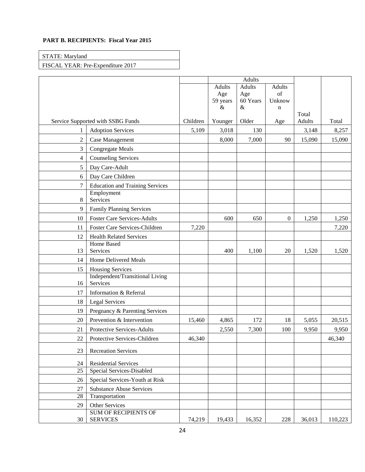#### **PART B. RECIPIENTS: Fiscal Year 2015**

| STATE: Maryland                   |  |
|-----------------------------------|--|
| FISCAL YEAR: Pre-Expenditure 2017 |  |

|                 |                                                |          |          | <b>Adults</b> |                  |        |         |
|-----------------|------------------------------------------------|----------|----------|---------------|------------------|--------|---------|
|                 |                                                |          | Adults   | <b>Adults</b> | <b>Adults</b>    |        |         |
|                 |                                                |          | Age      | Age           | of               |        |         |
|                 |                                                |          | 59 years | 60 Years      | Unknow           |        |         |
|                 |                                                |          | $\&$     | $\&$          | $\mathbf n$      | Total  |         |
|                 | Service Supported with SSBG Funds              | Children | Younger  | Older         | Age              | Adults | Total   |
| 1               | <b>Adoption Services</b>                       | 5,109    | 3,018    | 130           |                  | 3,148  | 8,257   |
| $\sqrt{2}$      | Case Management                                |          | 8,000    | 7,000         | 90               | 15,090 | 15,090  |
| 3               | <b>Congregate Meals</b>                        |          |          |               |                  |        |         |
| $\overline{4}$  | <b>Counseling Services</b>                     |          |          |               |                  |        |         |
| 5               | Day Care-Adult                                 |          |          |               |                  |        |         |
| 6               | Day Care Children                              |          |          |               |                  |        |         |
| $\overline{7}$  | <b>Education and Training Services</b>         |          |          |               |                  |        |         |
|                 | Employment                                     |          |          |               |                  |        |         |
| 8               | Services                                       |          |          |               |                  |        |         |
| 9               | Family Planning Services                       |          |          |               |                  |        |         |
| 10              | <b>Foster Care Services-Adults</b>             |          | 600      | 650           | $\boldsymbol{0}$ | 1,250  | 1,250   |
| 11              | Foster Care Services-Children                  | 7,220    |          |               |                  |        | 7,220   |
| 12              | <b>Health Related Services</b>                 |          |          |               |                  |        |         |
| 13              | <b>Home Based</b><br>Services                  |          | 400      | 1,100         | 20               | 1,520  | 1,520   |
| 14              | Home Delivered Meals                           |          |          |               |                  |        |         |
| 15              | <b>Housing Services</b>                        |          |          |               |                  |        |         |
| 16              | Independent/Transitional Living<br>Services    |          |          |               |                  |        |         |
| 17              | Information & Referral                         |          |          |               |                  |        |         |
| 18              | Legal Services                                 |          |          |               |                  |        |         |
| 19              | Pregnancy & Parenting Services                 |          |          |               |                  |        |         |
| 20              | Prevention & Intervention                      | 15,460   | 4,865    | 172           | 18               | 5,055  | 20,515  |
| 21              | Protective Services-Adults                     |          | 2,550    | 7,300         | 100              | 9,950  | 9,950   |
| 22              | Protective Services-Children                   | 46,340   |          |               |                  |        | 46,340  |
| 23              | <b>Recreation Services</b>                     |          |          |               |                  |        |         |
| 24              | <b>Residential Services</b>                    |          |          |               |                  |        |         |
| $\overline{25}$ | Special Services-Disabled                      |          |          |               |                  |        |         |
| 26              | Special Services-Youth at Risk                 |          |          |               |                  |        |         |
| 27              | <b>Substance Abuse Services</b>                |          |          |               |                  |        |         |
| 28              | Transportation                                 |          |          |               |                  |        |         |
| 29              | Other Services                                 |          |          |               |                  |        |         |
| 30              | <b>SUM OF RECIPIENTS OF</b><br><b>SERVICES</b> | 74,219   | 19,433   | 16,352        | 228              | 36,013 | 110,223 |
|                 |                                                |          |          |               |                  |        |         |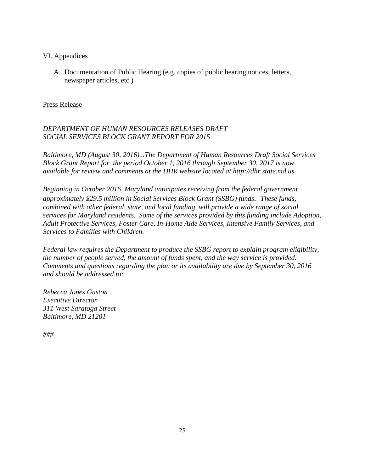## VI. Appendices

A. Documentation of Public Hearing (e.g. copies of public hearing notices, letters, newspaper articles, etc.)

## Press Release

## *DEPARTMENT OF HUMAN RESOURCES RELEASES DRAFT SOCIAL SERVICES BLOCK GRANT REPORT FOR 2015*

*Baltimore, MD (August 30, 2016)...The Department of Human Resources Draft Social Services Block Grant Report for the period October 1, 2016 through September 30, 2017 is now available for review and comments at the DHR website located at http://dhr.state.md.us.*

*Beginning in October 2016, Maryland anticipates receiving from the federal government approximately \$29.5 million in Social Services Block Grant (SSBG) funds. These funds, combined with other federal, state, and local funding, will provide a wide range of social services for Maryland residents. Some of the services provided by this funding include Adoption, Adult Protective Services, Foster Care, In-Home Aide Services, Intensive Family Services, and Services to Families with Children.*

*Federal law requires the Department to produce the SSBG report to explain program eligibility, the number of people served, the amount of funds spent, and the way service is provided. Comments and questions regarding the plan or its availability are due by September 30, 2016 and should be addressed to:*

*Rebecca Jones Gaston Executive Director 311 West Saratoga Street Baltimore, MD 21201* 

*###*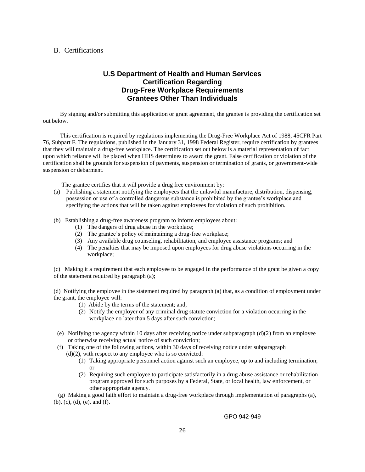#### B. Certifications

## **U.S Department of Health and Human Services Certification Regarding Drug-Free Workplace Requirements Grantees Other Than Individuals**

By signing and/or submitting this application or grant agreement, the grantee is providing the certification set out below.

This certification is required by regulations implementing the Drug-Free Workplace Act of 1988, 45CFR Part 76, Subpart F. The regulations, published in the January 31, 1998 Federal Register, require certification by grantees that they will maintain a drug-free workplace. The certification set out below is a material representation of fact upon which reliance will be placed when HHS determines to award the grant. False certification or violation of the certification shall be grounds for suspension of payments, suspension or termination of grants, or government-wide suspension or debarment.

The grantee certifies that it will provide a drug free environment by:

- (a) Publishing a statement notifying the employees that the unlawful manufacture, distribution, dispensing, possession or use of a controlled dangerous substance is prohibited by the grantee's workplace and specifying the actions that will be taken against employees for violation of such prohibition.
- (b) Establishing a drug-free awareness program to inform employees about:
	- (1) The dangers of drug abuse in the workplace;
	- (2) The grantee's policy of maintaining a drug-free workplace;
	- (3) Any available drug counseling, rehabilitation, and employee assistance programs; and
	- (4) The penalties that may be imposed upon employees for drug abuse violations occurring in the workplace;

(c) Making it a requirement that each employee to be engaged in the performance of the grant be given a copy of the statement required by paragraph (a);

(d) Notifying the employee in the statement required by paragraph (a) that, as a condition of employment under the grant, the employee will:

- (1) Abide by the terms of the statement; and,
- (2) Notify the employer of any criminal drug statute conviction for a violation occurring in the workplace no later than 5 days after such conviction;
- (e) Notifying the agency within 10 days after receiving notice under subparagraph  $(d)(2)$  from an employee or otherwise receiving actual notice of such conviction;
- (f) Taking one of the following actions, within 30 days of receiving notice under subparagraph  $(d)(2)$ , with respect to any employee who is so convicted:
	- (1) Taking appropriate personnel action against such an employee, up to and including termination; or
	- (2) Requiring such employee to participate satisfactorily in a drug abuse assistance or rehabilitation program approved for such purposes by a Federal, State, or local health, law enforcement, or other appropriate agency.

 (g) Making a good faith effort to maintain a drug-free workplace through implementation of paragraphs (a), (b), (c), (d), (e), and (f).

GPO 942-949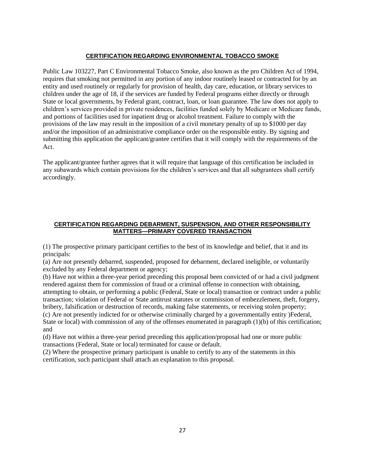#### **CERTIFICATION REGARDING ENVIRONMENTAL TOBACCO SMOKE**

Public Law 103227, Part C Environmental Tobacco Smoke, also known as the pro Children Act of 1994, requires that smoking not permitted in any portion of any indoor routinely leased or contracted for by an entity and used routinely or regularly for provision of health, day care, education, or library services to children under the age of 18, if the services are funded by Federal programs either directly or through State or local governments, by Federal grant, contract, loan, or loan guarantee. The law does not apply to children's services provided in private residences, facilities funded solely by Medicare or Medicare funds, and portions of facilities used for inpatient drug or alcohol treatment. Failure to comply with the provisions of the law may result in the imposition of a civil monetary penalty of up to \$1000 per day and/or the imposition of an administrative compliance order on the responsible entity. By signing and submitting this application the applicant/grantee certifies that it will comply with the requirements of the Act.

The applicant/grantee further agrees that it will require that language of this certification be included in any subawards which contain provisions for the children's services and that all subgrantees shall certify accordingly.

#### **CERTIFICATION REGARDING DEBARMENT, SUSPENSION, AND OTHER RESPONSIBILITY MATTERS—PRIMARY COVERED TRANSACTION**

(1) The prospective primary participant certifies to the best of its knowledge and belief, that it and its principals:

(a) Are not presently debarred, suspended, proposed for debarment, declared ineligible, or voluntarily excluded by any Federal department or agency;

(b) Have not within a three-year period preceding this proposal been convicted of or had a civil judgment rendered against them for commission of fraud or a criminal offense in connection with obtaining, attempting to obtain, or performing a public (Federal, State or local) transaction or contract under a public transaction; violation of Federal or State antitrust statutes or commission of embezzlement, theft, forgery, bribery, falsification or destruction of records, making false statements, or receiving stolen property;

(c) Are not presently indicted for or otherwise criminally charged by a governmentally entity )Federal, State or local) with commission of any of the offenses enumerated in paragraph (1)(b) of this certification; and

(d) Have not within a three-year period preceding this application/proposal had one or more public transactions (Federal, State or local) terminated for cause or default.

(2) Where the prospective primary participant is unable to certify to any of the statements in this certification, such participant shall attach an explanation to this proposal.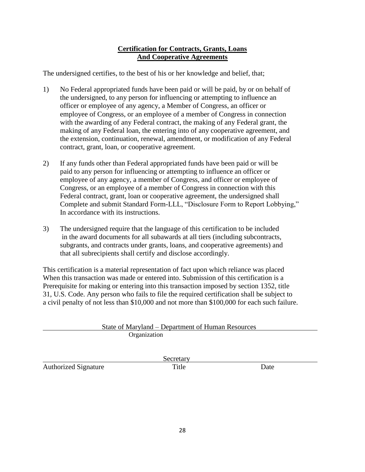## **Certification for Contracts, Grants, Loans And Cooperative Agreements**

The undersigned certifies, to the best of his or her knowledge and belief, that;

- 1) No Federal appropriated funds have been paid or will be paid, by or on behalf of the undersigned, to any person for influencing or attempting to influence an officer or employee of any agency, a Member of Congress, an officer or employee of Congress, or an employee of a member of Congress in connection with the awarding of any Federal contract, the making of any Federal grant, the making of any Federal loan, the entering into of any cooperative agreement, and the extension, continuation, renewal, amendment, or modification of any Federal contract, grant, loan, or cooperative agreement.
- 2) If any funds other than Federal appropriated funds have been paid or will be paid to any person for influencing or attempting to influence an officer or employee of any agency, a member of Congress, and officer or employee of Congress, or an employee of a member of Congress in connection with this Federal contract, grant, loan or cooperative agreement, the undersigned shall Complete and submit Standard Form-LLL, "Disclosure Form to Report Lobbying," In accordance with its instructions.
- 3) The undersigned require that the language of this certification to be included in the award documents for all subawards at all tiers (including subcontracts, subgrants, and contracts under grants, loans, and cooperative agreements) and that all subrecipients shall certify and disclose accordingly.

This certification is a material representation of fact upon which reliance was placed When this transaction was made or entered into. Submission of this certification is a Prerequisite for making or entering into this transaction imposed by section 1352, title 31, U.S. Code. Any person who fails to file the required certification shall be subject to a civil penalty of not less than \$10,000 and not more than \$100,000 for each such failure.

|                             | <u> State of Maryland – Department of Human Resources</u> |      |
|-----------------------------|-----------------------------------------------------------|------|
|                             | Organization                                              |      |
|                             |                                                           |      |
|                             | Secretary                                                 |      |
| <b>Authorized Signature</b> | Title                                                     | Date |
|                             |                                                           |      |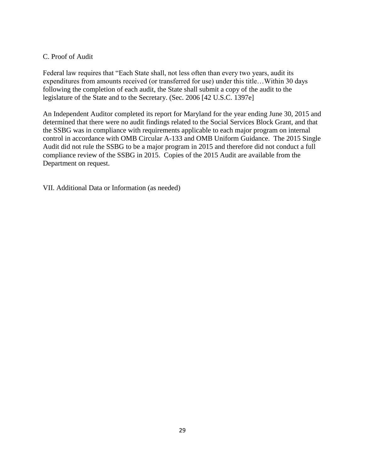## C. Proof of Audit

Federal law requires that "Each State shall, not less often than every two years, audit its expenditures from amounts received (or transferred for use) under this title…Within 30 days following the completion of each audit, the State shall submit a copy of the audit to the legislature of the State and to the Secretary. (Sec. 2006 [42 U.S.C. 1397e]

An Independent Auditor completed its report for Maryland for the year ending June 30, 2015 and determined that there were no audit findings related to the Social Services Block Grant, and that the SSBG was in compliance with requirements applicable to each major program on internal control in accordance with OMB Circular A-133 and OMB Uniform Guidance. The 2015 Single Audit did not rule the SSBG to be a major program in 2015 and therefore did not conduct a full compliance review of the SSBG in 2015. Copies of the 2015 Audit are available from the Department on request.

VII. Additional Data or Information (as needed)